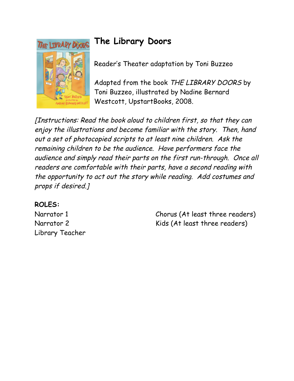

## **The Library Doors**

Reader's Theater adaptation by Toni Buzzeo

Adapted from the book THE LIBRARY DOORS by Toni Buzzeo, illustrated by Nadine Bernard Westcott, UpstartBooks, 2008.

[Instructions: Read the book aloud to children first, so that they can enjoy the illustrations and become familiar with the story. Then, hand out a set of photocopied scripts to at least nine children. Ask the remaining children to be the audience. Have performers face the audience and simply read their parts on the first run-through. Once all readers are comfortable with their parts, have a second reading with the opportunity to act out the story while reading. Add costumes and props if desired.]

## **ROLES:**

Narrator 1 Narrator 2 Library Teacher Chorus (At least three readers) Kids (At least three readers)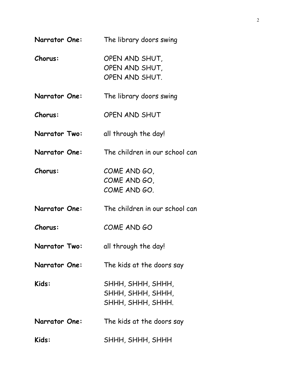| <b>Narrator One:</b> | The library doors swing                                     |
|----------------------|-------------------------------------------------------------|
| Chorus:              | OPEN AND SHUT,<br>OPEN AND SHUT,<br>OPEN AND SHUT.          |
| <b>Narrator One:</b> | The library doors swing                                     |
| Chorus:              | OPEN AND SHUT                                               |
| <b>Narrator Two:</b> | all through the day!                                        |
| <b>Narrator One:</b> | The children in our school can                              |
| Chorus:              | COME AND GO,<br>COME AND GO,<br>COME AND GO.                |
| <b>Narrator One:</b> | The children in our school can                              |
| <b>Chorus:</b>       | COME AND GO                                                 |
| <b>Narrator Two:</b> | all through the day!                                        |
| <b>Narrator One:</b> | The kids at the doors say                                   |
| Kids:                | SHHH, SHHH, SHHH,<br>SHHH, SHHH, SHHH,<br>SHHH, SHHH, SHHH. |
| <b>Narrator One:</b> | The kids at the doors say                                   |
| Kids:                | SHHH, SHHH, SHHH                                            |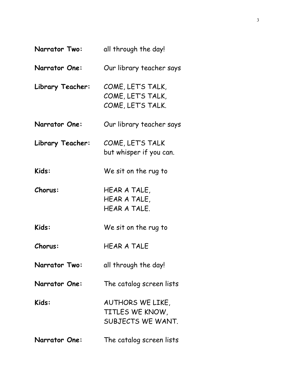| Narrator Two:        | all through the day!                                        |
|----------------------|-------------------------------------------------------------|
| <b>Narrator One:</b> | Our library teacher says                                    |
| Library Teacher:     | COME, LET'S TALK,<br>COME, LET'S TALK,<br>COME, LET'S TALK. |
| <b>Narrator One:</b> | Our library teacher says                                    |
| Library Teacher:     | COME, LET'S TALK<br>but whisper if you can.                 |
| Kids:                | We sit on the rug to                                        |
| Chorus:              | HEAR A TALE,<br>HEAR A TALE,<br>HEAR A TALE.                |
| Kids:                | We sit on the rug to                                        |
| <b>Chorus:</b>       | <b>HEAR A TALE</b>                                          |
| <b>Narrator Two:</b> | all through the day!                                        |
| <b>Narrator One:</b> | The catalog screen lists                                    |
| Kids:                | AUTHORS WE LIKE,<br>TITLES WE KNOW,<br>SUBJECTS WE WANT.    |
| <b>Narrator One:</b> | The catalog screen lists                                    |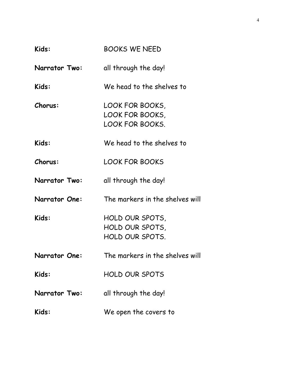| Kids:                | <b>BOOKS WE NEED</b>                                         |
|----------------------|--------------------------------------------------------------|
| <b>Narrator Two:</b> | all through the day!                                         |
| Kids:                | We head to the shelves to                                    |
| Chorus:              | LOOK FOR BOOKS,<br>LOOK FOR BOOKS,<br><b>LOOK FOR BOOKS.</b> |
| Kids:                | We head to the shelves to                                    |
| <b>Chorus:</b>       | <b>LOOK FOR BOOKS</b>                                        |
| <b>Narrator Two:</b> | all through the day!                                         |
| <b>Narrator One:</b> | The markers in the shelves will                              |
| Kids:                | HOLD OUR SPOTS,<br>HOLD OUR SPOTS,<br>HOLD OUR SPOTS.        |
| <b>Narrator One:</b> | The markers in the shelves will                              |
| Kids:                | <b>HOLD OUR SPOTS</b>                                        |
| <b>Narrator Two:</b> | all through the day!                                         |
| Kids:                | We open the covers to                                        |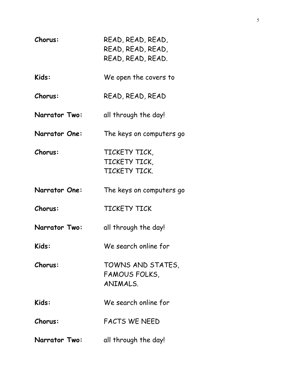| Chorus:              | READ, READ, READ,<br>READ, READ, READ,<br>READ, READ, READ. |
|----------------------|-------------------------------------------------------------|
| Kids:                | We open the covers to                                       |
| <b>Chorus:</b>       | READ, READ, READ                                            |
| <b>Narrator Two:</b> | all through the day!                                        |
| <b>Narrator One:</b> | The keys on computers go                                    |
| Chorus:              | TICKETY TICK,<br>TICKETY TICK,<br>TICKETY TICK.             |
| <b>Narrator One:</b> | The keys on computers go                                    |
| Chorus:              | <b>TICKETY TICK</b>                                         |
| <b>Narrator Two:</b> | all through the day!                                        |
| Kids:                | We search online for                                        |
| Chorus:              | TOWNS AND STATES,<br>FAMOUS FOLKS,<br>ANIMALS.              |
| Kids:                | We search online for                                        |
| <b>Chorus:</b>       | <b>FACTS WE NEED</b>                                        |
| <b>Narrator Two:</b> | all through the day!                                        |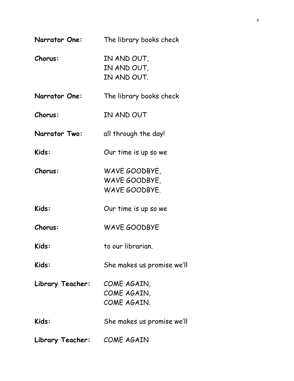| <b>Narrator One:</b> | The library books check                         |
|----------------------|-------------------------------------------------|
| Chorus:              | IN AND OUT,<br>IN AND OUT,<br>IN AND OUT.       |
| <b>Narrator One:</b> | The library books check                         |
| Chorus:              | IN AND OUT                                      |
| <b>Narrator Two:</b> | all through the day!                            |
| Kids:                | Our time is up so we                            |
| Chorus:              | WAVE GOODBYE,<br>WAVE GOODBYE,<br>WAVE GOODBYE. |
| Kids:                | Our time is up so we                            |
| <b>Chorus:</b>       | <b>WAVE GOODBYE</b>                             |
| Kids:                | to our librarian.                               |
| Kids:                | She makes us promise we'll                      |
| Library Teacher:     | COME AGAIN,<br>COME AGAIN,<br>COME AGAIN.       |
| Kids:                | She makes us promise we'll                      |
| Library Teacher:     | COME AGAIN                                      |